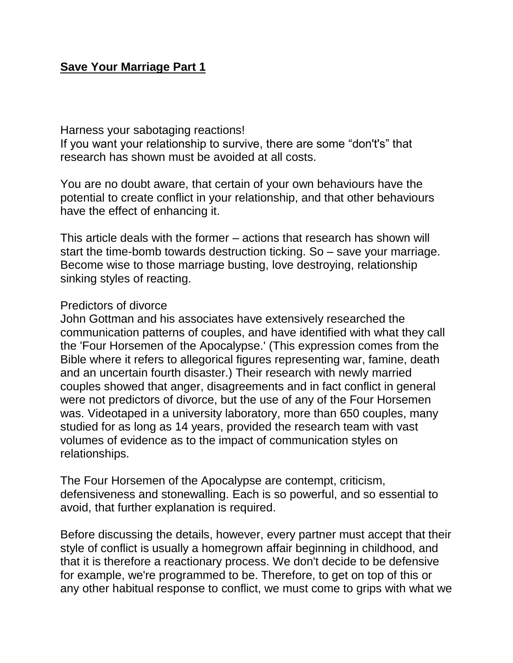## **Save Your Marriage Part 1**

Harness your sabotaging reactions!

If you want your relationship to survive, there are some "don't's" that research has shown must be avoided at all costs.

You are no doubt aware, that certain of your own behaviours have the potential to create conflict in your relationship, and that other behaviours have the effect of enhancing it.

This article deals with the former – actions that research has shown will start the time-bomb towards destruction ticking. So – save your marriage. Become wise to those marriage busting, love destroying, relationship sinking styles of reacting.

## Predictors of divorce

John Gottman and his associates have extensively researched the communication patterns of couples, and have identified with what they call the 'Four Horsemen of the Apocalypse.' (This expression comes from the Bible where it refers to allegorical figures representing war, famine, death and an uncertain fourth disaster.) Their research with newly married couples showed that anger, disagreements and in fact conflict in general were not predictors of divorce, but the use of any of the Four Horsemen was. Videotaped in a university laboratory, more than 650 couples, many studied for as long as 14 years, provided the research team with vast volumes of evidence as to the impact of communication styles on relationships.

The Four Horsemen of the Apocalypse are contempt, criticism, defensiveness and stonewalling. Each is so powerful, and so essential to avoid, that further explanation is required.

Before discussing the details, however, every partner must accept that their style of conflict is usually a homegrown affair beginning in childhood, and that it is therefore a reactionary process. We don't decide to be defensive for example, we're programmed to be. Therefore, to get on top of this or any other habitual response to conflict, we must come to grips with what we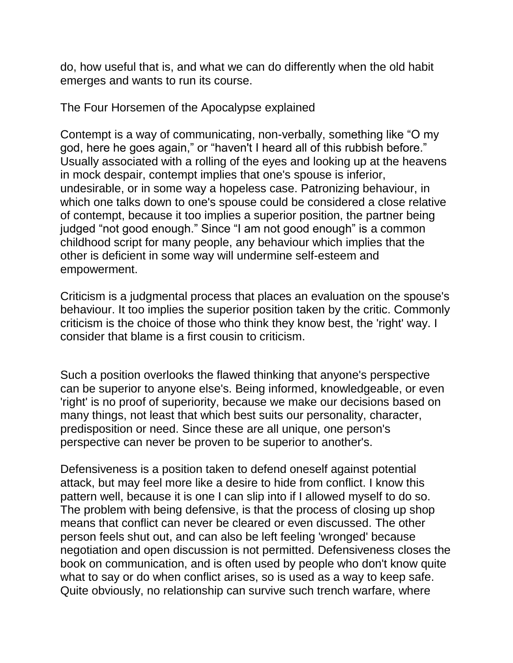do, how useful that is, and what we can do differently when the old habit emerges and wants to run its course.

The Four Horsemen of the Apocalypse explained

Contempt is a way of communicating, non-verbally, something like "O my god, here he goes again," or "haven't I heard all of this rubbish before." Usually associated with a rolling of the eyes and looking up at the heavens in mock despair, contempt implies that one's spouse is inferior, undesirable, or in some way a hopeless case. Patronizing behaviour, in which one talks down to one's spouse could be considered a close relative of contempt, because it too implies a superior position, the partner being judged "not good enough." Since "I am not good enough" is a common childhood script for many people, any behaviour which implies that the other is deficient in some way will undermine self-esteem and empowerment.

Criticism is a judgmental process that places an evaluation on the spouse's behaviour. It too implies the superior position taken by the critic. Commonly criticism is the choice of those who think they know best, the 'right' way. I consider that blame is a first cousin to criticism.

Such a position overlooks the flawed thinking that anyone's perspective can be superior to anyone else's. Being informed, knowledgeable, or even 'right' is no proof of superiority, because we make our decisions based on many things, not least that which best suits our personality, character, predisposition or need. Since these are all unique, one person's perspective can never be proven to be superior to another's.

Defensiveness is a position taken to defend oneself against potential attack, but may feel more like a desire to hide from conflict. I know this pattern well, because it is one I can slip into if I allowed myself to do so. The problem with being defensive, is that the process of closing up shop means that conflict can never be cleared or even discussed. The other person feels shut out, and can also be left feeling 'wronged' because negotiation and open discussion is not permitted. Defensiveness closes the book on communication, and is often used by people who don't know quite what to say or do when conflict arises, so is used as a way to keep safe. Quite obviously, no relationship can survive such trench warfare, where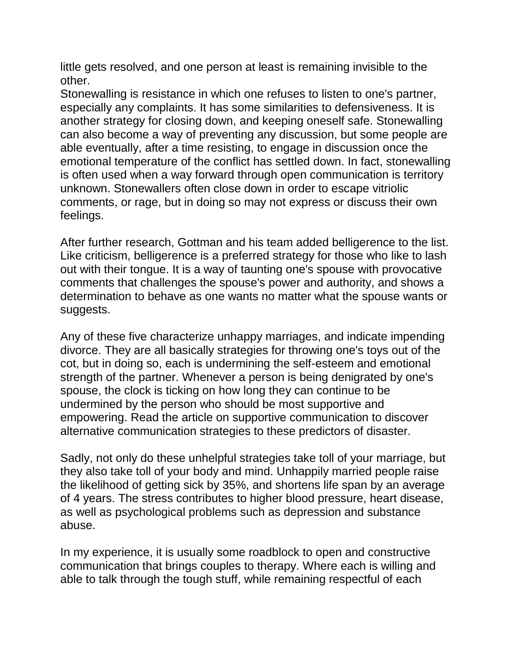little gets resolved, and one person at least is remaining invisible to the other.

Stonewalling is resistance in which one refuses to listen to one's partner, especially any complaints. It has some similarities to defensiveness. It is another strategy for closing down, and keeping oneself safe. Stonewalling can also become a way of preventing any discussion, but some people are able eventually, after a time resisting, to engage in discussion once the emotional temperature of the conflict has settled down. In fact, stonewalling is often used when a way forward through open communication is territory unknown. Stonewallers often close down in order to escape vitriolic comments, or rage, but in doing so may not express or discuss their own feelings.

After further research, Gottman and his team added belligerence to the list. Like criticism, belligerence is a preferred strategy for those who like to lash out with their tongue. It is a way of taunting one's spouse with provocative comments that challenges the spouse's power and authority, and shows a determination to behave as one wants no matter what the spouse wants or suggests.

Any of these five characterize unhappy marriages, and indicate impending divorce. They are all basically strategies for throwing one's toys out of the cot, but in doing so, each is undermining the self-esteem and emotional strength of the partner. Whenever a person is being denigrated by one's spouse, the clock is ticking on how long they can continue to be undermined by the person who should be most supportive and empowering. Read the article on supportive communication to discover alternative communication strategies to these predictors of disaster.

Sadly, not only do these unhelpful strategies take toll of your marriage, but they also take toll of your body and mind. Unhappily married people raise the likelihood of getting sick by 35%, and shortens life span by an average of 4 years. The stress contributes to higher blood pressure, heart disease, as well as psychological problems such as depression and substance abuse.

In my experience, it is usually some roadblock to open and constructive communication that brings couples to therapy. Where each is willing and able to talk through the tough stuff, while remaining respectful of each